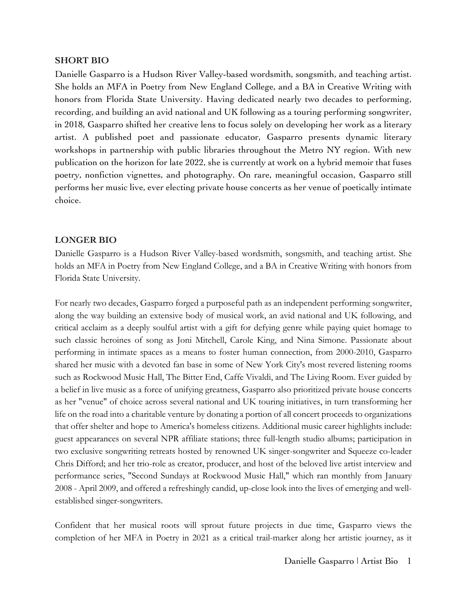## **SHORT BIO**

Danielle Gasparro is a Hudson River Valley-based wordsmith, songsmith, and teaching artist. She holds an MFA in Poetry from New England College, and a BA in Creative Writing with honors from Florida State University. Having dedicated nearly two decades to performing, recording, and building an avid national and UK following as a touring performing songwriter, in 2018, Gasparro shifted her creative lens to focus solely on developing her work as a literary artist. A published poet and passionate educator, Gasparro presents dynamic literary workshops in partnership with public libraries throughout the Metro NY region. With new publication on the horizon for late 2022, she is currently at work on a hybrid memoir that fuses poetry, nonfiction vignettes, and photography. On rare, meaningful occasion, Gasparro still performs her music live, ever electing private house concerts as her venue of poetically intimate choice.

## **LONGER BIO**

Danielle Gasparro is a Hudson River Valley-based wordsmith, songsmith, and teaching artist. She holds an MFA in Poetry from New England College, and a BA in Creative Writing with honors from Florida State University.

For nearly two decades, Gasparro forged a purposeful path as an independent performing songwriter, along the way building an extensive body of musical work, an avid national and UK following, and critical acclaim as a deeply soulful artist with a gift for defying genre while paying quiet homage to such classic heroines of song as Joni Mitchell, Carole King, and Nina Simone. Passionate about performing in intimate spaces as a means to foster human connection, from 2000-2010, Gasparro shared her music with a devoted fan base in some of New York City's most revered listening rooms such as Rockwood Music Hall, The Bitter End, Caffe Vivaldi, and The Living Room. Ever guided by a belief in live music as a force of unifying greatness, Gasparro also prioritized private house concerts as her "venue" of choice across several national and UK touring initiatives, in turn transforming her life on the road into a charitable venture by donating a portion of all concert proceeds to organizations that offer shelter and hope to America's homeless citizens. Additional music career highlights include: guest appearances on several NPR affiliate stations; three full-length studio albums; participation in two exclusive songwriting retreats hosted by renowned UK singer-songwriter and Squeeze co-leader Chris Difford; and her trio-role as creator, producer, and host of the beloved live artist interview and performance series, "Second Sundays at Rockwood Music Hall," which ran monthly from January 2008 - April 2009, and offered a refreshingly candid, up-close look into the lives of emerging and wellestablished singer-songwriters.

Confident that her musical roots will sprout future projects in due time, Gasparro views the completion of her MFA in Poetry in 2021 as a critical trail-marker along her artistic journey, as it